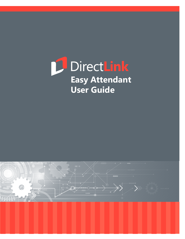

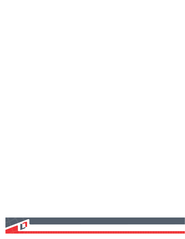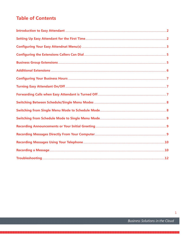# **Table of Contents**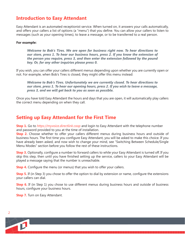## **Introduction to Easy Attendant**

Easy Attendant is an automated receptionist service. When turned on, it answers your calls automatically, and offers your callers a list of options (a "menu") that you define. You can allow your callers to listen to messages (such as your opening times), to leave a message, or to be transferred to a real person.

#### **For example:**

*Welcome to Bob's Tires. We are open for business right now. To hear directions to our store, press 1. To hear our business hours, press 2. If you know the extension of the person you require, press 3, and then enter the extension followed by the pound key. Or, for any other inquiries please press 0.*

If you wish, you can offer your callers different menus depending upon whether you are currently open or not. For example, when Bob's Tires is closed, they might offer this menu instead:

*Welcome to Bob's Tires. Unfortunately we are currently closed. To hear directions to our store, press 1. To hear our opening hours, press 2. If you wish to leave a message, press 3, and we will get back to you as soon as possible.*

Once you have told Easy Attendant the hours and days that you are open, it will automatically play callers the correct menu depending on when they call.

### **Setting up Easy Attendant for the First Time**

**Step 1.** Go to *https://myvoice.directlink.coop* and login to Easy Attendant with the telephone number and password provided to you at the time of installation.

**Step 2.** Choose whether to offer your callers different menus during business hours and outside of business hours. The first time you configure Easy Attendant, you will be asked to make this choice. If you have already been asked, and now wish to change your mind, see "Switching Between Schedule/Single Menu Modes" section before you follow the rest of these instructions.

**Step 3.** Optionally, configure a number to forward callers to while your Easy Attendant is turned off. If you skip this step, then until you have finished setting up the service, callers to your Easy Attendant will be played a message saying that the number is unreachable.

**Step 4.** Configure the menu (or menus) that you wish to offer your callers.

**Step 5.** If (in Step 3) you chose to offer the option to dial by extension or name, configure the extensions your callers can dial.

**Step 6.** If (in Step 1) you chose to use different menus during business hours and outside of business hours, configure your business hours.

**Step 7.** Turn on Easy Attendant.

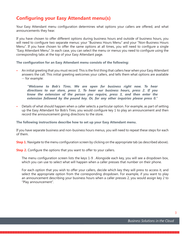## **Configuring your Easy Attendant menu(s)**

Your Easy Attendant menu configuration determines what options your callers are offered, and what announcements they hear.

If you have chosen to offer different options during business hours and outside of business hours, you will need to configure two separate menus: your "Business Hours Menu" and your "Non-Business Hours Menu". If you have chosen to offer the same options at all times, you will need to configure a single "Easy Attendant Menu". In each case, you can select the menu or menus you need to configure using the corresponding tabs at the top of your Easy Attendant page.

#### **The configuration for an Easy Attendant menu consists of the following:**

**•** An initial greeting that you must record. This is the first thing that callers hear when your Easy Attendant answers the call. This initial greeting welcomes your callers, and tells them what options are available -- for example:

*"Welcome to Bob's Tires. We are open for business right now. To hear directions to our store, press 1. To hear our business hours, press 2. If you know the extension of the person you require, press 3, and then enter the extension followed by the pound key. Or, for any other inquiries please press 0."*

**•** Details of what should happen when a caller selects a particular option. For example, as part of setting up the Easy Attendant for Bob's Tires, you would configure key 1 to play an announcement and then record the announcement giving directions to the store.

**The following instructions describe how to set up your Easy Attendant menu.**

If you have separate business and non-business hours menus, you will need to repeat these steps for each of them.

**Step 1.** Navigate to the menu configuration screen by clicking on the appropriate tab (as described above).

**Step 2.** Configure the options that you want to offer to your callers.

The menu configuration screen lists the keys 1-9 . Alongside each key, you will see a dropdown box, which you can use to select what will happen when a caller presses that number on their phone.

For each option that you wish to offer your callers, decide which key they will press to access it, and select the appropriate option from the corresponding dropdown. For example, if you want to play an announcement describing your business hours when a caller presses 2, you would assign key 2 to "Play announcement".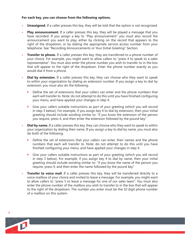#### **For each key, you can choose from the following options.**

- **• Unassigned.** If a caller presses this key, they will be told that the option is not recognized.
- **Play announcement**. If a caller presses this key, they will be played a message that you have recorded. If you assign a key to "Play announcement" you must also record the announcement you want to play, either by clicking on the record that appears to the right of the dropdown, or by dialing the appropriate service access number from your telephone. See "Recording Announcements or Your Initial Greeting" Section.
- **Transfer to phone.** If a caller presses this key, they are transferred to a phone number of your choice. For example, you might want to allow callers to "press 4 to speak to a sales representative". You must also enter the phone number you wish to transfer to in the box that will appear to the right of the dropdown. Enter the phone number exactly as you would dial it from a phone.
- **Dial by extension.** If a caller presses this key, they can choose who they want to speak to within your organization by dialing an extension number. If you assign a key to dial by extension, you must also do the following.
	- $\triangleright$  Define the set of extensions that your callers can enter and the phone numbers that each will transfer to. Note: do not attempt to do this until you have finished configuring your menu, and have applied your changes in step 4.
	- $\triangleright$  Give your callers suitable instructions as part of your greeting (which you will record in step 3 below). For example, if you assign key 4 to dial by extension, then your initial greeting should include wording similar to: "if you know the extension of the person you require, press 4, and then enter the extension followed by the pound key."
- **Dial by name.** If a caller presses this key, they can choose who they want to speak to within your organization by dialing their name. If you assign a key to dial by name, you must also do both of the following.
	- $\blacktriangleright$  Define the set of extensions that your callers can enter, their names and the phone numbers that each will transfer to. Note: do not attempt to do this until you have finished configuring your menu, and have applied your changes in step 4.
	- $\triangleright$  Give your callers suitable instructions as part of your greeting (which you will record in step 3 below). For example, if you assign key 4 to dial by name, then your initial greeting should include wording similar to: "if you know the name of the person you require, press 4, and then enter the name followed by the pound key."
- **• Transfer to voice mail**. If a caller presses this key, they will be transferred directly to a voice mailbox of your choice and invited to leave a message. For example, you might want to allow callers to "press 5 to leave a message for one of our sales team". You must also enter the phone number of the mailbox you wish to transfer to in the box that will appear to the right of the dropdown. The number you enter must be the 10 digit phone number of a mailbox on this system.

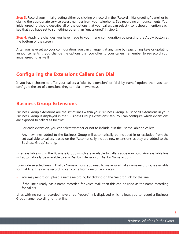**Step 3.** Record your initial greeting either by clicking on record in the "Record initial greeting" panel, or by dialing the appropriate service access number from your telephone. See recording announcements. Your initial greeting should describe all of the options that your callers can select - so it should mention each key that you have set to something other than "unassigned" in step 2.

**Step 4.** Apply the changes you have made to your menu configuration by pressing the Apply button at the bottom of the screen.

After you have set up your configuration, you can change it at any time by reassigning keys or updating announcements. If you change the options that you offer to your callers, remember to re-record your initial greeting as well!

### **Configuring the Extensions Callers Can Dial**

If you have chosen to offer your callers a "dial by extension" or "dial by name" option, then you can configure the set of extensions they can dial in two ways:

### **Business Group Extensions**

Business Group extensions are the list of lines within your Business Group. A list of all extensions in your Business Group is displayed in the "Business Group Extensions" tab. You can configure which extensions are exposed to callers as follows:

- **•** For each extension, you can select whether or not to include it in the list available to callers.
- **•** Any new lines added to the Business Group will automatically be included in or excluded from the set available to callers, based on the "Automatically include new extensions as they are added to the Business Group" setting.

Lines available within the Business Group which are available to callers appear in bold. Any available line will automatically be available to any Dial by Extension or Dial by Name actions.

To include selected lines in Dial by Name actions, you need to make sure that a name recording is available for that line. The name recording can come from one of two places:

- **•** You may record or upload a name recording by clicking on the "record" link for the line.
- **•** If the line already has a name recorded for voice mail, then this can be used as the name recording for callers.

Lines with no name recorded have a red "record" link displayed which allows you to record a Business Group name recording for that line.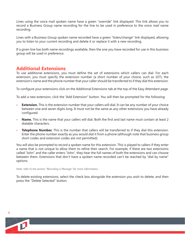Lines using the voice mail spoken name have a green "override" link displayed. This link allows you to record a Business Group name recording for the line to be used in preference to the voice mail name recording.

Lines with a Business Group spoken name recorded have a green "listen/change" link displayed, allowing you to listen to your current recording and delete it or replace it with a new recording.

If a given line has both name recordings available, then the one you have recorded for use in this business group will be used in preference.

#### **Additional Extensions**

To use additional extensions, you must define the set of extensions which callers can dial. For each extension, you must specify the extension number (a short number of your choice, such as 107), the extension's name and the phone number that your caller should be transferred to if they dial this extension.

To configure your extensions click on the Additional Extensions tab at the top of the Easy Attendant page.

To add a new extension, click the "Add Extension" button. You will then be prompted for the following:

- **Extension.** This is the extension number that your callers will dial. It can be any number of your choice between one and seven digits long. It must not be the same as any other extensions you have already configured.
- **• Name.** This is the name that your callers will dial. Both the first and last name must contain at least 2 dialable characters.
- **• Telephone Number.** This is the number that callers will be transferred to if they dial this extension. Enter the phone number exactly as you would dial it from a phone (although note that business group short codes and extension codes are not permitted).

You will also be prompted to record a spoken name for this extension. This is played to callers if they enter a name that is not unique to allow them to refine their search. For example, if there are two extensions called "John" and the caller enters "John", they hear the full names of both the extensions and can choose between them. Extensions that don't have a spoken name recorded can't be reached by "dial by name" options.

*Note: refer to the section "Recording a Message" for more information*.

To delete existing extensions, select the check box alongside the extension you wish to delete, and then press the "Delete Selected" button.

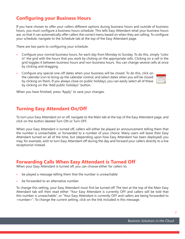## **Configuring your Business Hours**

If you have chosen to offer your callers different options during business hours and outside of business hours, you must configure a business hours schedule. This tells Easy Attendant what your business hours are, so that it can automatically offer callers the correct menu based on when they are calling. To configure your schedule, navigate to the Schedule tab at the top of the Easy Attendant page.

There are two parts to configuring your schedule:

- **•** Configure your normal business hours, for each day from Monday to Sunday. To do this, simply "color in" the grid with the hours that you work by clicking on the appropriate cells. Clicking on a cell in the grid toggles it between business hours and non-business hours. You can change several cells at once by clicking and dragging.
- **•** Configure any special one-off dates when your business will be closed. To do this, click on the calendar icon to bring up the calendar control, and select dates when you will be closed by clicking on them. If you always close on public holidays, you can easily select all of these by clicking on the "Add public holidays" button.



When you have finished, press "Apply" to save your changes.

### **Turning Easy Attendant On/Off**

To turn your Easy Attendant on or off, navigate to the Main tab at the top of the Easy Attendant page, and click on the button labeled Turn ON or Turn OFF.

When your Easy Attendant is turned off, callers will either be played an announcement telling them that the number is unreachable, or forwarded to a number of your choice. Many users will leave their Easy Attendant turned on all of the time, but (depending upon how Easy Attendant has been deployed) you may, for example, wish to turn Easy Attendant off during the day and forward your callers directly to a live receptionist instead.

#### **Forwarding Calls When Easy Attendant is Turned Off**

When your Easy Attendant is turned off, you can choose either for callers to:

- **•** be played a message telling them that the number is unreachable
- **•** be forwarded to an alternative number.

To change this setting, your Easy Attendant must first be turned off. The text at the top of the Main Easy Attendant tab will then read either "Your Easy Attendant is currently OFF and callers will be told that this number is unreachable", or "Your Easy Attendant is currently OFF and callers are being forwarded to <number>". To change the current setting, click on the link included in this message.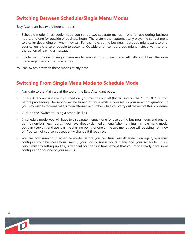# **Switching Between Schedule/Single Menu Modes**

Easy Attendant has two different modes.

- **•** Schedule mode. In schedule mode you set up two separate menus -- one for use during business hours, and one for outside of business hours. The system then automatically plays the correct menu to a caller depending on when they call. For example, during business hours you might want to offer your callers a choice of people to speak to. Outside of office hours, you might instead want to offer the option of leaving a message.
- **•** Single menu mode. In single menu mode, you set up just one menu. All callers will hear the same menu regardless of the time of day.

You can switch between these modes at any time.

## **Switching From Single Menu Mode to Schedule Mode**

- **•** Navigate to the Main tab at the top of the Easy Attendant page.
- **•** If Easy Attendant is currently turned on, you must turn it off (by clicking on the "Turn OFF" button) before proceeding. The service will be turned off for a while as you set up your new configuration, so you may wish to forward callers to an alternative number while you carry out the rest of this procedure.
- **•** Click on the "Switch to using a schedule" link.
- **•** In schedule mode, you will have two separate menus one for use during business hours and one for during non-business hours. If you have already defined a menu (when running in single menu mode) you can keep this and use it as the starting point for one of the two menus you will be using from now on. You can, of course, subsequently change it if required.
- **•** You are now running in schedule mode. Before you can turn Easy Attendant on again, you must configure your business hours menu, your non-business hours menu and your schedule. This is very similar to setting up Easy Attendant for the first time, except that you may already have some configuration for one of your menus.

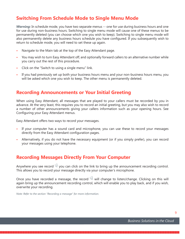## **Switching From Schedule Mode to Single Menu Mode**

*Warning:* In schedule mode, you have two separate menus -- one for use during business hours and one for use during non-business hours. Switching to single menu mode will cause one of these menus to be permanently deleted (you can choose which one you wish to keep). Switching to single menu mode will also permanently delete any business hours schedule you have configured. If you subsequently wish to return to schedule mode, you will need to set these up again.

- **•** Navigate to the Main tab at the top of the Easy Attendant page.
- **•** You may wish to turn Easy Attendant off, and optionally forward callers to an alternative number while you carry out the rest of this procedure.
- **•** Click on the "Switch to using a single menu" link.
- **•** If you had previously set up both your business hours menu and your non-business hours menu, you will be asked which one you wish to keep. The other menu is permanently deleted.

#### **Recording Announcements or Your Initial Greeting**

When using Easy Attendant, all messages that are played to your callers must be recorded by you in advance. At the very least, this requires you to record an initial greeting, but you may also wish to record a number of other announcements giving your callers information such as your opening hours. See Configuring your Easy Attendant menus.

Easy Attendant offers two ways to record your messages.

- **•** If your computer has a sound card and microphone, you can use these to record your messages directly from the Easy Attendant configuration pages.
- **•** Alternatively, if you do not have the necessary equipment (or if you simply prefer), you can record your messages using your telephone.

#### **Recording Messages Directly From Your Computer**

Anywhere you see record  $\mathbb{Q}$  you can click on the link to bring up the announcement recording control. This allows you to record your message directly via your computer's microphone.

Once you have recorded a message, the record will change to listen/change. Clicking on this will again bring up the announcement recording control, which will enable you to play back, and if you wish, overwrite your recording.

*Note: Refer to the section "Recording a message" for more information.*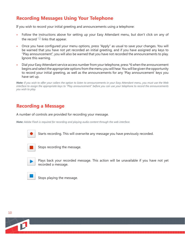# **Recording Messages Using Your Telephone**

If you wish to record your initial greeting and announcements using a telephone:

- **•** Follow the instructions above for setting up your Easy Attendant menu, but don't click on any of the record  $\Box$  links that appear.
- **•** Once you have configured your menu options, press "Apply" as usual to save your changes. You will be warned that you have not yet recorded an initial greeting, and if you have assigned any keys to "Play announcement", you will also be warned that you have not recorded the announcements to play. Ignore this warning.
- **•** Dial your Easy Attendant service access number from your telephone, press \*6 when the announcement begins and select the appropriate options from the menu you will hear. You will be given the opportunity to record your initial greeting, as well as the announcements for any 'Play announcement' keys you have set up.

*Note: If you wish to offer your callers the option to listen to announcements in your Easy Attendant menu, you must use the Web interface to assign the appropriate keys to "Play announcement" before you can use your telephone to record the announcements you wish to play.*

## **Recording a Message**

A number of controls are provided for recording your message.

*Note: Adobe Flash is required for recording and playing audio content through the web interface.*



Starts recording. This will overwrite any message you have previously recorded.



Stops recording the message.



Plays back your recorded message. This action will be unavailable if you have not yet recorded a message.



Stops playing the message.

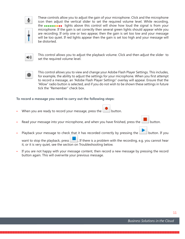

These controls allow you to adjust the gain of your microphone. Click and the microphone icon then adjust the vertical slider to set the required volume level. While recording, the **expression** lights above this control will show how loud the signal is from your microphone. If the gain is set correctly then several green lights should appear while you are recording. If only one or two appear, then the gain is set too low and your message will be too quiet. If red lights appear then the gain is set too high and your message will be distorted.



This control allows you to adjust the playback volume. Click and then adjust the slider to set the required volume level.



This control allows you to view and change your Adobe Flash Player Settings. This includes, for example, the ability to adjust the settings for your microphone. When you first attempt to record a message, an "Adobe Flash Player Settings" overlay will appear. Ensure that the "Allow" radio button is selected, and if you do not wish to be shown these settings in future tick the "Remember" check box.

#### **To record a message you need to carry out the following steps:**

- **When you are ready to record your message, press the <b>button**.
- **•• Read your message into your microphone, and when you have finished, press the button.**
- **•** Playback your message to check that it has recorded correctly by pressing the **button** of you

want to stop the playback, press  $\Box$ . If there is a problem with the recording, e.g. you cannot hear it, or it is very quiet, see the section on Troubleshooting below.

**•** If you are not happy with your message content, then record a new message by pressing the record button again. This will overwrite your previous message.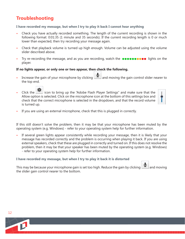# **Troubleshooting**

#### **I have recorded my message, but when I try to play it back I cannot hear anything**

- **•** Check you have actually recorded something. The length of the current recording is shown in the following format: 0:01:35 (1 minute and 35 seconds). If the current recording length is 0 or much lower than expected, then try recording your message again.
- **•** Check that playback volume is turned up high enough. Volume can be adjusted using the volume slider described above.
- Try re-recording the message, and as you are recording, watch the **exclusions of lights on the** player.

#### **If no lights appear, or only one or two appear, then check the following.**

- Increase the gain of your microphone by clicking **and moving the gain control slider nearer to** the top end.
- **•** Click the icon to bring up the "Adobe Flash Player Settings" and make sure that the Allow option is selected. Click on the microphone icon at the bottom of this settings box and check that the correct microphone is selected in the dropdown, and that the record volume is turned up.
- 
- **•** If you are using an external microphone, check that this is plugged in correctly.

If this still doesn't solve the problem, then it may be that your microphone has been muted by the operating system (e.g. Windows) - refer to your operating system help for further information.

**•** If several green lights appear consistently while recording your message, then it is likely that your message has recorded correctly and the problem is occurring when playing it back. If you are using external speakers, check that these are plugged in correctly and turned on. If this does not resolve the problem, then it may be that your speaker has been muted by the operating system (e.g. Windows) - refer to your operating system help for further information.

#### **I have recorded my message, but when I try to play it back it is distorted**

This may be because your microphone gain is set too high. Reduce the gain by clicking  $\Box$  and moving the slider gain control nearer to the bottom.

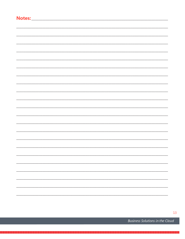**Business Solutions in the Cloud**